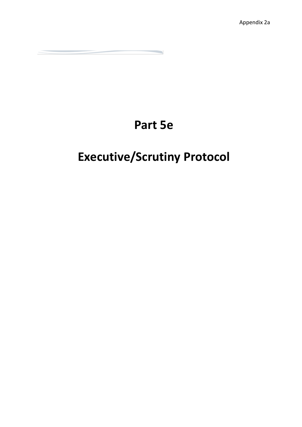## **Part 5e**

# **Executive/Scrutiny Protocol**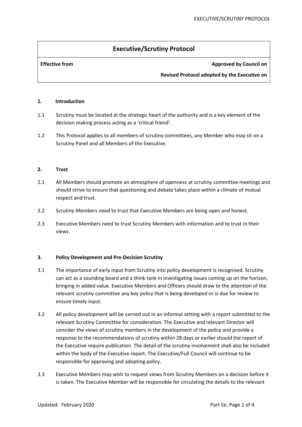### **Executive/Scrutiny Protocol**

### **Effective from Approved by Council on**

**Revised Protocol adopted by the Executive on** 

#### **1. Introduction**

- 1.1 Scrutiny must be located at the strategic heart of the authority and is a key element of the decision making process acting as a 'critical friend'.
- 1.2 This Protocol applies to all members of scrutiny committees, any Member who may sit on a Scrutiny Panel and all Members of the Executive.

#### **2. Trust**

- 2.1 All Members should promote an atmosphere of openness at scrutiny committee meetings and should strive to ensure that questioning and debate takes place within a climate of mutual respect and trust.
- 2.2 Scrutiny Members need to trust that Executive Members are being open and honest.
- 2.3 Executive Members need to trust Scrutiny Members with information and to trust in their views.

#### **3. Policy Development and Pre-Decision Scrutiny**

- 3.1 The importance of early input from Scrutiny into policy development is recognised. Scrutiny can act as a sounding board and a think tank in investigating issues coming up on the horizon, bringing in added value. Executive Members and Officers should draw to the attention of the relevant scrutiny committee any key policy that is being developed or is due for review to ensure timely input.
- 3.2 All policy development will be carried out in an informal setting with a report submitted to the relevant Scrutiny Committee for consideration. The Executive and relevant Director will consider the views of scrutiny members in the development of the policy and provide a response to the recommendations of scrutiny within 28 days or earlier should the report of the Executive require publication. The detail of the scrutiny involvement shall also be included within the body of the Executive report. The Executive/Full Council will continue to be responsible for approving and adopting policy.
- 3.3 Executive Members may wish to request views from Scrutiny Members on a decision before it is taken. The Executive Member will be responsible for circulating the details to the relevant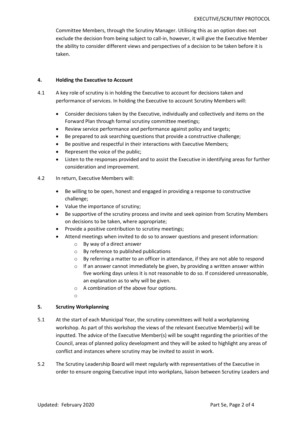Committee Members, through the Scrutiny Manager. Utilising this as an option does not exclude the decision from being subject to call-in, however, it will give the Executive Member the ability to consider different views and perspectives of a decision to be taken before it is taken.

#### **4. Holding the Executive to Account**

- 4.1 A key role of scrutiny is in holding the Executive to account for decisions taken and performance of services. In holding the Executive to account Scrutiny Members will:
	- Consider decisions taken by the Executive, individually and collectively and items on the Forward Plan through formal scrutiny committee meetings;
	- Review service performance and performance against policy and targets;
	- Be prepared to ask searching questions that provide a constructive challenge;
	- Be positive and respectful in their interactions with Executive Members;
	- Represent the voice of the public;
	- Listen to the responses provided and to assist the Executive in identifying areas for further consideration and improvement.
- 4.2 In return, Executive Members will:
	- Be willing to be open, honest and engaged in providing a response to constructive challenge;
	- Value the importance of scrutiny;
	- Be supportive of the scrutiny process and invite and seek opinion from Scrutiny Members on decisions to be taken, where appropriate;
	- Provide a positive contribution to scrutiny meetings;
	- Attend meetings when invited to do so to answer questions and present information:
		- o By way of a direct answer
		- o By reference to published publications
		- $\circ$  By referring a matter to an officer in attendance, if they are not able to respond
		- $\circ$  If an answer cannot immediately be given, by providing a written answer within five working days unless it is not reasonable to do so. If considered unreasonable, an explanation as to why will be given.
		- o A combination of the above four options.
		- o

#### **5. Scrutiny Workplanning**

- 5.1 At the start of each Municipal Year, the scrutiny committees will hold a workplanning workshop. As part of this workshop the views of the relevant Executive Member(s) will be inputted. The advice of the Executive Member(s) will be sought regarding the priorities of the Council, areas of planned policy development and they will be asked to highlight any areas of conflict and instances where scrutiny may be invited to assist in work.
- 5.2 The Scrutiny Leadership Board will meet regularly with representatives of the Executive in order to ensure ongoing Executive input into workplans, liaison between Scrutiny Leaders and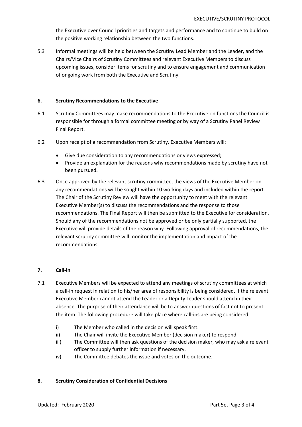the Executive over Council priorities and targets and performance and to continue to build on the positive working relationship between the two functions.

5.3 Informal meetings will be held between the Scrutiny Lead Member and the Leader, and the Chairs/Vice Chairs of Scrutiny Committees and relevant Executive Members to discuss upcoming issues, consider items for scrutiny and to ensure engagement and communication of ongoing work from both the Executive and Scrutiny.

#### **6. Scrutiny Recommendations to the Executive**

- 6.1 Scrutiny Committees may make recommendations to the Executive on functions the Council is responsible for through a formal committee meeting or by way of a Scrutiny Panel Review Final Report.
- 6.2 Upon receipt of a recommendation from Scrutiny, Executive Members will:
	- Give due consideration to any recommendations or views expressed;
	- Provide an explanation for the reasons why recommendations made by scrutiny have not been pursued.
- 6.3 Once approved by the relevant scrutiny committee, the views of the Executive Member on any recommendations will be sought within 10 working days and included within the report. The Chair of the Scrutiny Review will have the opportunity to meet with the relevant Executive Member(s) to discuss the recommendations and the response to those recommendations. The Final Report will then be submitted to the Executive for consideration. Should any of the recommendations not be approved or be only partially supported, the Executive will provide details of the reason why. Following approval of recommendations, the relevant scrutiny committee will monitor the implementation and impact of the recommendations.

### **7. Call-in**

- 7.1 Executive Members will be expected to attend any meetings of scrutiny committees at which a call-in request in relation to his/her area of responsibility is being considered. If the relevant Executive Member cannot attend the Leader or a Deputy Leader should attend in their absence. The purpose of their attendance will be to answer questions of fact not to present the item. The following procedure will take place where call-ins are being considered:
	- i) The Member who called in the decision will speak first.
	- ii) The Chair will invite the Executive Member (decision maker) to respond.
	- iii) The Committee will then ask questions of the decision maker, who may ask a relevant officer to supply further information if necessary.
	- iv) The Committee debates the issue and votes on the outcome.

#### **8. Scrutiny Consideration of Confidential Decisions**